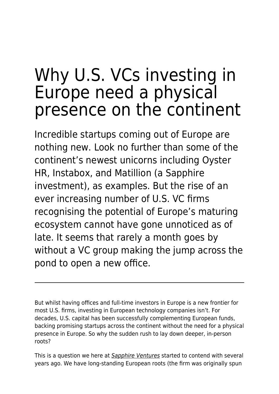## Why U.S. VCs investing in Europe need a physical presence on the continent

Incredible startups coming out of Europe are nothing new. Look no further than some of the continent's newest unicorns including Oyster HR, Instabox, and Matillion (a Sapphire investment), as examples. But the rise of an ever increasing number of U.S. VC firms recognising the potential of Europe's maturing ecosystem cannot have gone unnoticed as of late. It seems that rarely a month goes by without a VC group making the jump across the pond to open a new office.

But whilst having offices and full-time investors in Europe is a new frontier for most U.S. firms, investing in European technology companies isn't. For decades, U.S. capital has been successfully complementing European funds, backing promising startups across the continent without the need for a physical presence in Europe. So why the sudden rush to lay down deeper, in-person roots?

This is a question we here at [Sapphire Ventures](https://mailstat.us/tr/t/sm072nzcl2rbhi0r/1y/https://sapphireventures.com/) started to contend with several years ago. We have long-standing European roots (the firm was originally spun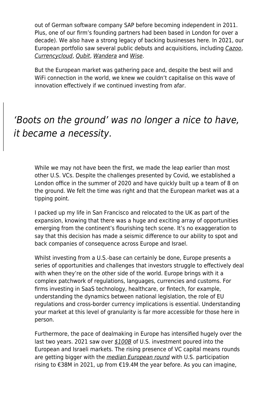out of German software company SAP before becoming independent in 2011. Plus, one of our firm's founding partners had been based in London for over a decade). We also have a strong legacy of backing businesses here. In 2021, our European portfolio saw several public debuts and acquisitions, including [Cazoo](https://mailstat.us/tr/t/sm072nzcl2rbhi0r/1q/https://c212.net/c/link/?t=0&l=en&o=3388481-1&h=2073300617&u=https%3A%2F%2Fsapphireventures.com%2Fblog%2Fbecoming-a-european-company-of-consequence-in-rapid-time-congratulations-to-cazoo-on-the-public-debut%2F&a=Cazoo), [Currencycloud](https://www.currencycloud.com/), [Qubit](https://mailstat.us/tr/t/sm072nzcl2rbhi0r/1s/https://c212.net/c/link/?t=0&l=en&o=3388481-1&h=1194750990&u=https%3A%2F%2Fwww.coveo.com%2Fen%2Fcompany%2Fnews-releases%2F2021%2Fcoveo-acquires-qubit&a=acquisition+of+Qubit+by+Coveo), [Wandera](https://mailstat.us/tr/t/sm072nzcl2rbhi0r/1t/https://c212.net/c/link/?t=0&l=en&o=3388481-1&h=1688881343&u=https%3A%2F%2Fwww.wandera.com%2Fwandera-jamf%2F&a=acquisition+of+Wandera+by+JAMF) and [Wise](https://mailstat.us/tr/t/sm072nzcl2rbhi0r/1u/https://c212.net/c/link/?t=0&l=en&o=3388481-1&h=3303453393&u=https%3A%2F%2Fsapphireventures.com%2Fblog%2Fredefining-conventional-wisdom-congratulations-to-wise-on-its-public-debut%2F&a=Wise).

But the European market was gathering pace and, despite the best will and WiFi connection in the world, we knew we couldn't capitalise on this wave of innovation effectively if we continued investing from afar.

## 'Boots on the ground' was no longer a nice to have, it became a necessity.

While we may not have been the first, we made the leap earlier than most other U.S. VCs. Despite the challenges presented by Covid, we established a London office in the summer of 2020 and have quickly built up a team of 8 on the ground. We felt the time was right and that the European market was at a tipping point.

I packed up my life in San Francisco and relocated to the UK as part of the expansion, knowing that there was a huge and exciting array of opportunities emerging from the continent's flourishing tech scene. It's no exaggeration to say that this decision has made a seismic difference to our ability to spot and back companies of consequence across Europe and Israel.

Whilst investing from a U.S.-base can certainly be done, Europe presents a series of opportunities and challenges that investors struggle to effectively deal with when they're on the other side of the world. Europe brings with it a complex patchwork of regulations, languages, currencies and customs. For firms investing in SaaS technology, healthcare, or fintech, for example, understanding the dynamics between national legislation, the role of EU regulations and cross-border currency implications is essential. Understanding your market at this level of granularity is far more accessible for those here in person.

Furthermore, the pace of dealmaking in Europe has intensified hugely over the last two years. 2021 saw over [\\$100B](https://mailstat.us/tr/t/sm072nzcl2rbhi0r/1v/https://pitchbook.com/news/articles/2022-us-vcs-europe-deals) of U.S. investment poured into the European and Israeli markets. The rising presence of VC capital means rounds are getting bigger with the *[median European round](https://mailstat.us/tr/t/sm072nzcl2rbhi0r/1w/https://pitchbook.com/news/articles/2022-us-vcs-europe-deals)* with U.S. participation rising to €38M in 2021, up from €19.4M the year before. As you can imagine,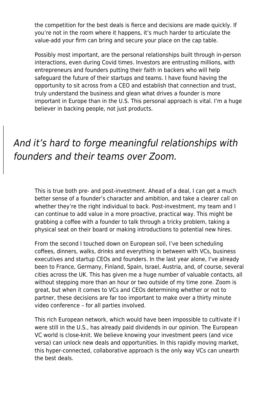the competition for the best deals is fierce and decisions are made quickly. If you're not in the room where it happens, it's much harder to articulate the value-add your firm can bring and secure your place on the cap table.

Possibly most important, are the personal relationships built through in-person interactions, even during Covid times. Investors are entrusting millions, with entrepreneurs and founders putting their faith in backers who will help safeguard the future of their startups and teams. I have found having the opportunity to sit across from a CEO and establish that connection and trust, truly understand the business and glean what drives a founder is more important in Europe than in the U.S. This personal approach is vital. I'm a huge believer in backing people, not just products.

## And it's hard to forge meaningful relationships with founders and their teams over Zoom.

This is true both pre- and post-investment. Ahead of a deal, I can get a much better sense of a founder's character and ambition, and take a clearer call on whether they're the right individual to back. Post-investment, my team and I can continue to add value in a more proactive, practical way. This might be grabbing a coffee with a founder to talk through a tricky problem, taking a physical seat on their board or making introductions to potential new hires.

From the second I touched down on European soil, I've been scheduling coffees, dinners, walks, drinks and everything in between with VCs, business executives and startup CEOs and founders. In the last year alone, I've already been to France, Germany, Finland, Spain, Israel, Austria, and, of course, several cities across the UK. This has given me a huge number of valuable contacts, all without stepping more than an hour or two outside of my time zone. Zoom is great, but when it comes to VCs and CEOs determining whether or not to partner, these decisions are far too important to make over a thirty minute video conference – for all parties involved.

This rich European network, which would have been impossible to cultivate if I were still in the U.S., has already paid dividends in our opinion. The European VC world is close-knit. We believe knowing your investment peers (and vice versa) can unlock new deals and opportunities. In this rapidly moving market, this hyper-connected, collaborative approach is the only way VCs can unearth the best deals.